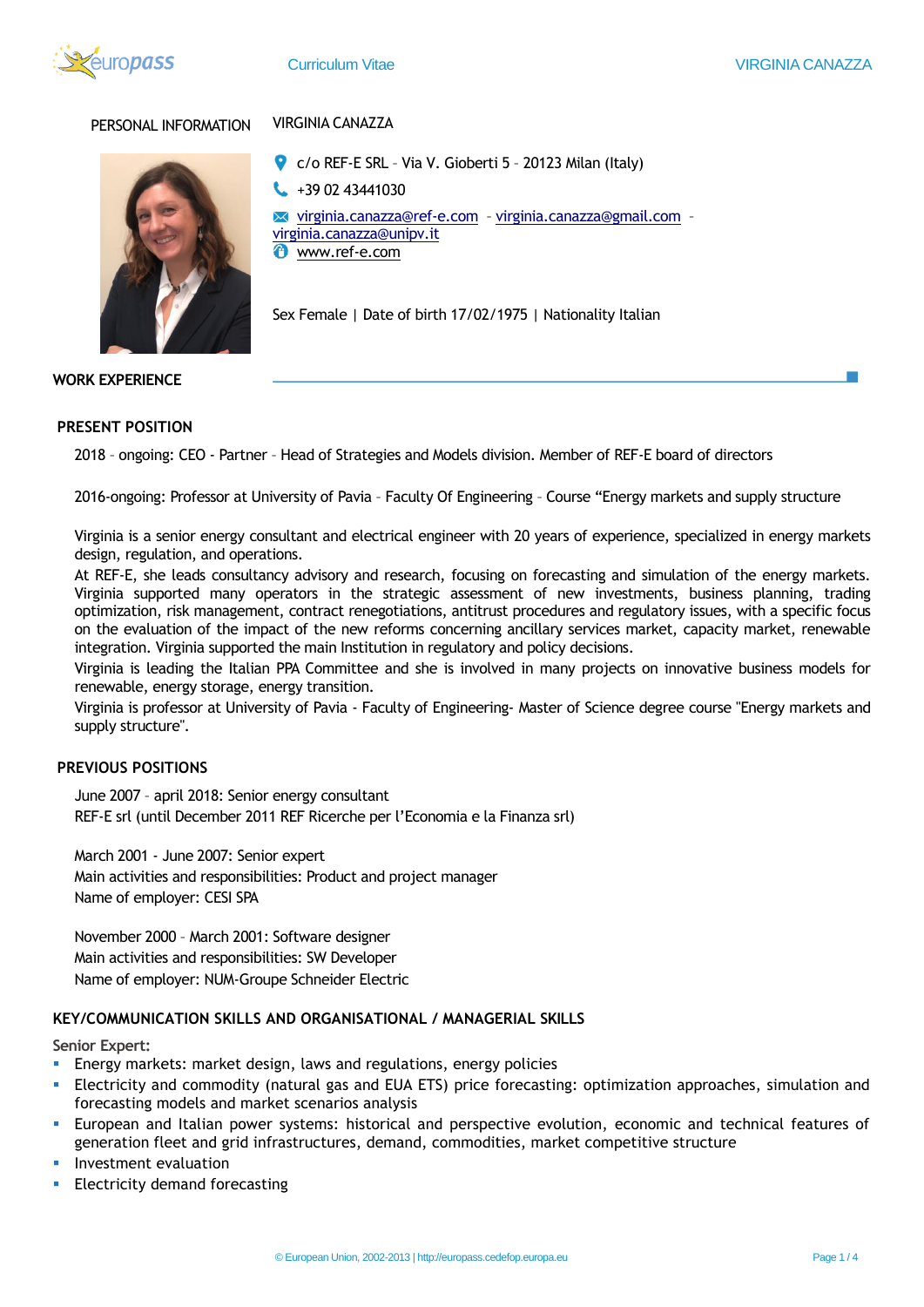

PERSONAL INFORMATION VIRGINIA CANAZZA



c/o REF-E SRL – Via V. Gioberti 5 – 20123 Milan (Italy)  $\begin{array}{cc} \bullet & +39 & 02 & 43441030 \end{array}$ [virginia.canazza@ref-e.com](mailto:virginia.canazza@ref-e.com) – [virginia.canazza@gmail.com](mailto:virginia.canazza@gmail.com) –

[virginia.canazza@unipv.it](mailto:virginia.canazza@unipv.it) *O* www.ref-e.com

Sex Female | Date of birth 17/02/1975 | Nationality Italian

#### **WORK EXPERIENCE**

# **PRESENT POSITION**

2018 – ongoing: CEO - Partner – Head of Strategies and Models division. Member of REF-E board of directors

2016-ongoing: Professor at University of Pavia – Faculty Of Engineering – Course "Energy markets and supply structure

Virginia is a senior energy consultant and electrical engineer with 20 years of experience, specialized in energy markets design, regulation, and operations.

At REF-E, she leads consultancy advisory and research, focusing on forecasting and simulation of the energy markets. Virginia supported many operators in the strategic assessment of new investments, business planning, trading optimization, risk management, contract renegotiations, antitrust procedures and regulatory issues, with a specific focus on the evaluation of the impact of the new reforms concerning ancillary services market, capacity market, renewable integration. Virginia supported the main Institution in regulatory and policy decisions.

Virginia is leading the Italian PPA Committee and she is involved in many projects on innovative business models for renewable, energy storage, energy transition.

Virginia is professor at University of Pavia - Faculty of Engineering- Master of Science degree course "Energy markets and supply structure".

## **PREVIOUS POSITIONS**

June 2007 – april 2018: Senior energy consultant REF-E srl (until December 2011 REF Ricerche per l'Economia e la Finanza srl)

March 2001 - June 2007: Senior expert Main activities and responsibilities: Product and project manager Name of employer: CESI SPA

November 2000 – March 2001: Software designer Main activities and responsibilities: SW Developer Name of employer: NUM-Groupe Schneider Electric

## **KEY/COMMUNICATION SKILLS AND ORGANISATIONAL / MANAGERIAL SKILLS**

#### **Senior Expert:**

- **Energy markets: market design, laws and regulations, energy policies**
- Electricity and commodity (natural gas and EUA ETS) price forecasting: optimization approaches, simulation and forecasting models and market scenarios analysis
- European and Italian power systems: historical and perspective evolution, economic and technical features of generation fleet and grid infrastructures, demand, commodities, market competitive structure
- Investment evaluation
- **Electricity demand forecasting**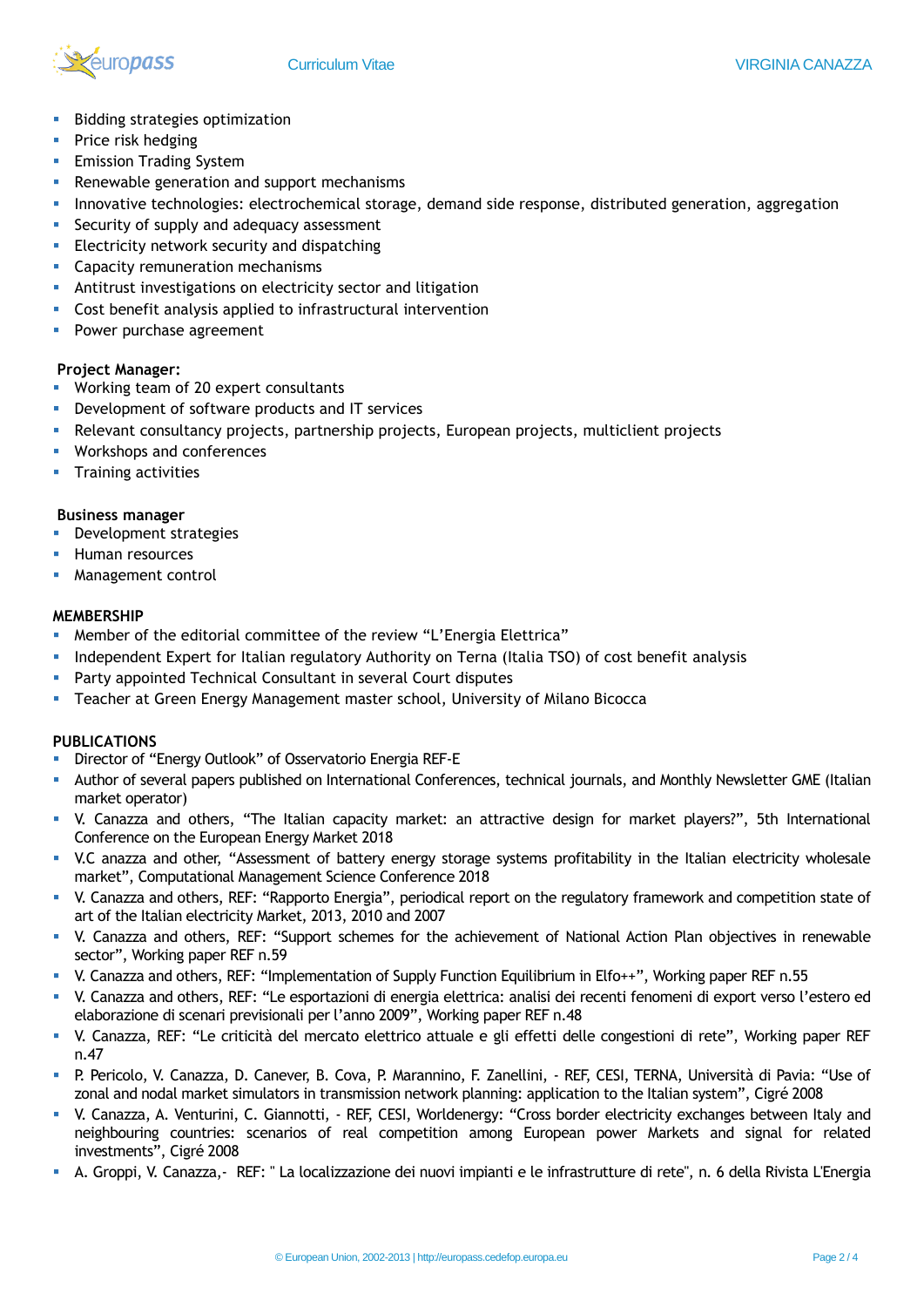

- Bidding strategies optimization
- **•** Price risk hedging
- **Emission Trading System**
- Renewable generation and support mechanisms
- Innovative technologies: electrochemical storage, demand side response, distributed generation, aggregation
- Security of supply and adequacy assessment
- Electricity network security and dispatching
- Capacity remuneration mechanisms
- Antitrust investigations on electricity sector and litigation
- Cost benefit analysis applied to infrastructural intervention
- **•** Power purchase agreement

#### **Project Manager:**

- Working team of 20 expert consultants
- Development of software products and IT services
- Relevant consultancy projects, partnership projects, European projects, multiclient projects
- Workshops and conferences
- **•** Training activities

#### **Business manager**

- **•** Development strategies
- **Human resources**
- Management control

### **MEMBERSHIP**

- Member of the editorial committee of the review "L'Energia Elettrica"
- Independent Expert for Italian regulatory Authority on Terna (Italia TSO) of cost benefit analysis
- Party appointed Technical Consultant in several Court disputes
- Teacher at Green Energy Management master school, University of Milano Bicocca

### **PUBLICATIONS**

- **EXECT** Director of "Energy Outlook" of Osservatorio Energia REF-E
- Author of several papers published on International Conferences, technical journals, and Monthly Newsletter GME (Italian market operator)
- V. Canazza and others, "The Italian capacity market: an attractive design for market players?", 5th International Conference on the European Energy Market 2018
- V.C anazza and other, "Assessment of battery energy storage systems profitability in the Italian electricity wholesale market", Computational Management Science Conference 2018
- V. Canazza and others, REF: "Rapporto Energia", periodical report on the regulatory framework and competition state of art of the Italian electricity Market, 2013, 2010 and 2007
- V. Canazza and others, REF: "Support schemes for the achievement of National Action Plan objectives in renewable sector", Working paper REF n.59
- V. Canazza and others, REF: "Implementation of Supply Function Equilibrium in Elfo++", Working paper REF n.55
- V. Canazza and others, REF: "Le esportazioni di energia elettrica: analisi dei recenti fenomeni di export verso l'estero ed elaborazione di scenari previsionali per l'anno 2009", Working paper REF n.48
- V. Canazza, REF: "Le criticità del mercato elettrico attuale e gli effetti delle congestioni di rete", Working paper REF n.47
- P. Pericolo, V. Canazza, D. Canever, B. Cova, P. Marannino, F. Zanellini, REF, CESI, TERNA, Università di Pavia: "Use of zonal and nodal market simulators in transmission network planning: application to the Italian system", Cigré 2008
- V. Canazza, A. Venturini, C. Giannotti, REF, CESI, Worldenergy: "Cross border electricity exchanges between Italy and neighbouring countries: scenarios of real competition among European power Markets and signal for related investments", Cigré 2008
- A. Groppi, V. Canazza,- REF: " La localizzazione dei nuovi impianti e le infrastrutture di rete", n. 6 della Rivista L'Energia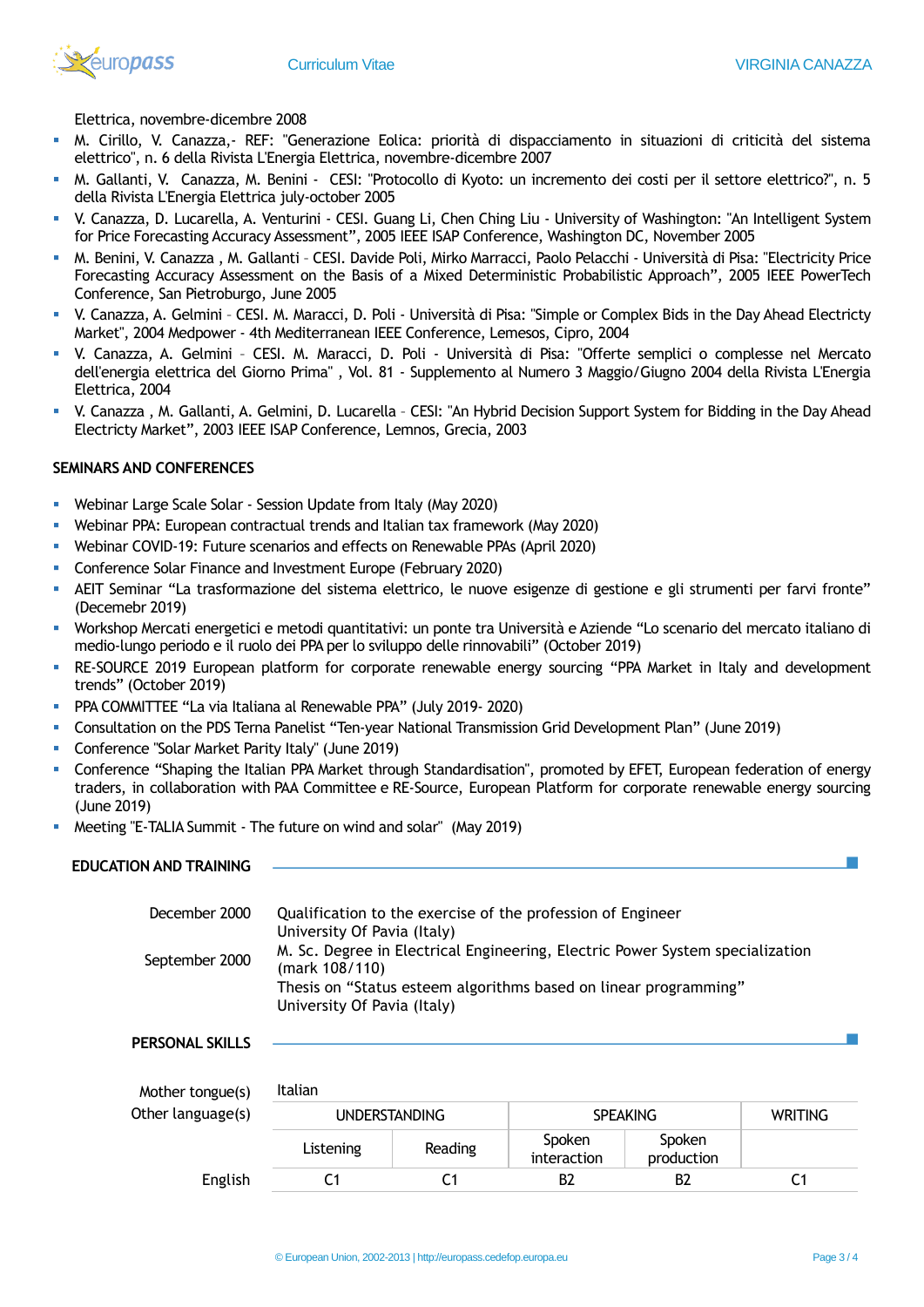

Elettrica, novembre-dicembre 2008

- M. Cirillo, V. Canazza,- REF: "Generazione Eolica: priorità di dispacciamento in situazioni di criticità del sistema elettrico", n. 6 della Rivista L'Energia Elettrica, novembre-dicembre 2007
- M. Gallanti, V. Canazza, M. Benini CESI: "Protocollo di Kyoto: un incremento dei costi per il settore elettrico?", n. 5 della Rivista L'Energia Elettrica july-october 2005
- V. Canazza, D. Lucarella, A. Venturini CESI. Guang Li, Chen Ching Liu University of Washington: "An Intelligent System for Price Forecasting Accuracy Assessment", 2005 IEEE ISAP Conference, Washington DC, November 2005
- M. Benini, V. Canazza , M. Gallanti CESI. Davide Poli, Mirko Marracci, Paolo Pelacchi Università di Pisa: "Electricity Price Forecasting Accuracy Assessment on the Basis of a Mixed Deterministic Probabilistic Approach", 2005 IEEE PowerTech Conference, San Pietroburgo, June 2005
- V. Canazza, A. Gelmini CESI. M. Maracci, D. Poli Università di Pisa: "Simple or Complex Bids in the Day Ahead Electricty Market", 2004 Medpower - 4th Mediterranean IEEE Conference, Lemesos, Cipro, 2004
- V. Canazza, A. Gelmini CESI. M. Maracci, D. Poli Università di Pisa: "Offerte semplici o complesse nel Mercato dell'energia elettrica del Giorno Prima" , Vol. 81 - Supplemento al Numero 3 Maggio/Giugno 2004 della Rivista L'Energia Elettrica, 2004
- V. Canazza, M. Gallanti, A. Gelmini, D. Lucarella CESI: "An Hybrid Decision Support System for Bidding in the Day Ahead Electricty Market", 2003 IEEE ISAP Conference, Lemnos, Grecia, 2003

#### **SEMINARS AND CONFERENCES**

- Webinar Large Scale Solar Session Update from Italy (May 2020)
- Webinar PPA: European contractual trends and Italian tax framework (May 2020)
- Webinar COVID-19: Future scenarios and effects on Renewable PPAs (April 2020)
- Conference Solar Finance and Investment Europe (February 2020)
- AEIT Seminar "La trasformazione del sistema elettrico, le nuove esigenze di gestione e gli strumenti per farvi fronte" (Decemebr 2019)
- Workshop Mercati energetici e metodi quantitativi: un ponte tra Università e Aziende "Lo scenario del mercato italiano di medio-lungo periodo e il ruolo dei PPA per lo sviluppo delle rinnovabili" (October 2019)
- RE-SOURCE 2019 European platform for corporate renewable energy sourcing "PPA Market in Italy and development trends" (October 2019)
- PPA COMMITTEE "La via Italiana al Renewable PPA" (July 2019- 2020)
- Consultation on the PDS Terna Panelist "Ten-year National Transmission Grid Development Plan" (June 2019)
- Conference "Solar Market Parity Italy" (June 2019)
- Conference "Shaping the Italian PPA Market through Standardisation", promoted by EFET, European federation of energy traders, in collaboration with PAA Committee e RE-Source, European Platform for corporate renewable energy sourcing (June 2019)
- Meeting "E-TALIA Summit The future on wind and solar" (May 2019)

#### **EDUCATION AND TRAINING**

| December 2000  | Qualification to the exercise of the profession of Engineer<br>University Of Pavia (Italy)                                                                          |
|----------------|---------------------------------------------------------------------------------------------------------------------------------------------------------------------|
| September 2000 | M. Sc. Degree in Electrical Engineering, Electric Power System specialization<br>(mark 108/110)<br>Thesis on "Status esteem algorithms based on linear programming" |
|                | University Of Pavia (Italy)                                                                                                                                         |

**PERSONAL SKILLS**

| Mother tongue(s)  | Italiar |
|-------------------|---------|
| Other language(s) |         |

| <i><b>INDUILI WIRUC(3)</b></i> | .                    |         |                       |                      |                |  |
|--------------------------------|----------------------|---------|-----------------------|----------------------|----------------|--|
| Other language(s)              | <b>UNDERSTANDING</b> |         | <b>SPEAKING</b>       |                      | <b>WRITING</b> |  |
|                                | Listening            | Reading | Spoken<br>interaction | Spoken<br>production |                |  |
| English                        |                      |         | B2                    | B2                   |                |  |